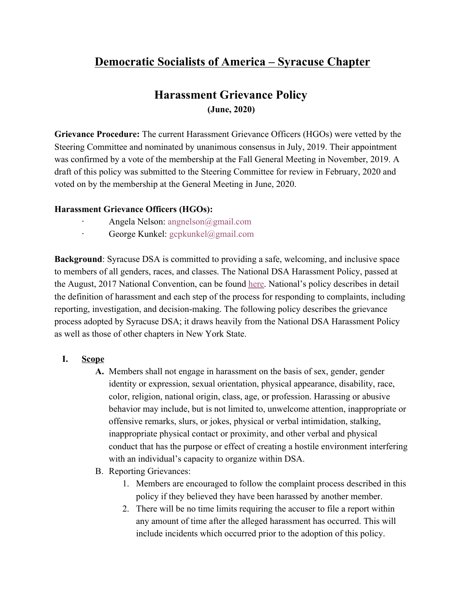# **Democratic Socialists of America – Syracuse Chapter**

# **Harassment Grievance Policy (June, 2020)**

**Grievance Procedure:** The current Harassment Grievance Officers (HGOs) were vetted by the Steering Committee and nominated by unanimous consensus in July, 2019. Their appointment was confirmed by a vote of the membership at the Fall General Meeting in November, 2019. A draft of this policy was submitted to the Steering Committee for review in February, 2020 and voted on by the membership at the General Meeting in June, 2020.

### **Harassment Grievance Officers (HGOs):**

- · Angela Nelson: angnelson@gmail.com
- · George Kunkel: gcpkunkel@gmail.com

**Background**: Syracuse DSA is committed to providing a safe, welcoming, and inclusive space to members of all genders, races, and classes. The National DSA Harassment Policy, passed at the August, 2017 National Convention, can be found [here.](https://docs.google.com/document/d/14PXU8_0eKmPG_8GSVVyHurorNcNPOQN_mq-mAdCOUao/edit) National's policy describes in detail the definition of harassment and each step of the process for responding to complaints, including reporting, investigation, and decision-making. The following policy describes the grievance process adopted by Syracuse DSA; it draws heavily from the National DSA Harassment Policy as well as those of other chapters in New York State.

### **I. Scope**

- **A.** Members shall not engage in harassment on the basis of sex, gender, gender identity or expression, sexual orientation, physical appearance, disability, race, color, religion, national origin, class, age, or profession. Harassing or abusive behavior may include, but is not limited to, unwelcome attention, inappropriate or offensive remarks, slurs, or jokes, physical or verbal intimidation, stalking, inappropriate physical contact or proximity, and other verbal and physical conduct that has the purpose or effect of creating a hostile environment interfering with an individual's capacity to organize within DSA.
- B. Reporting Grievances:
	- 1. Members are encouraged to follow the complaint process described in this policy if they believed they have been harassed by another member.
	- 2. There will be no time limits requiring the accuser to file a report within any amount of time after the alleged harassment has occurred. This will include incidents which occurred prior to the adoption of this policy.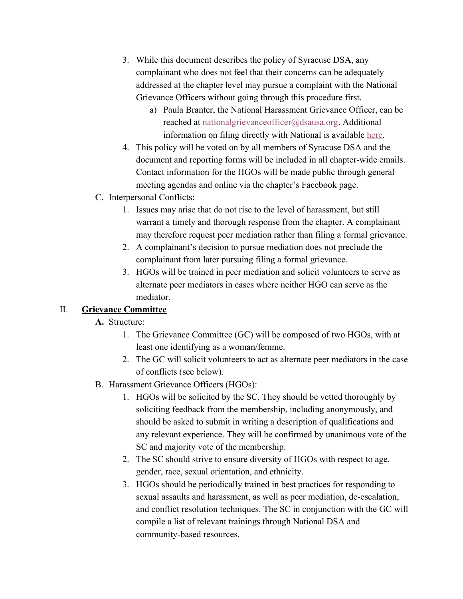- 3. While this document describes the policy of Syracuse DSA, any complainant who does not feel that their concerns can be adequately addressed at the chapter level may pursue a complaint with the National Grievance Officers without going through this procedure first.
	- a) Paula Branter, the National Harassment Grievance Officer, can be reached at nationalgrievanceofficer@dsausa.org. Additional information on filing directly with National is available [here.](https://www.dsausa.org/resources/harassment-and-grievance/harassment-and-grievance-faq/#contact)
- 4. This policy will be voted on by all members of Syracuse DSA and the document and reporting forms will be included in all chapter-wide emails. Contact information for the HGOs will be made public through general meeting agendas and online via the chapter's Facebook page.
- C. Interpersonal Conflicts:
	- 1. Issues may arise that do not rise to the level of harassment, but still warrant a timely and thorough response from the chapter. A complainant may therefore request peer mediation rather than filing a formal grievance.
	- 2. A complainant's decision to pursue mediation does not preclude the complainant from later pursuing filing a formal grievance.
	- 3. HGOs will be trained in peer mediation and solicit volunteers to serve as alternate peer mediators in cases where neither HGO can serve as the mediator.

# II. **Grievance Committee**

## **A.** Structure:

- 1. The Grievance Committee (GC) will be composed of two HGOs, with at least one identifying as a woman/femme.
- 2. The GC will solicit volunteers to act as alternate peer mediators in the case of conflicts (see below).
- B. Harassment Grievance Officers (HGOs):
	- 1. HGOs will be solicited by the SC. They should be vetted thoroughly by soliciting feedback from the membership, including anonymously, and should be asked to submit in writing a description of qualifications and any relevant experience. They will be confirmed by unanimous vote of the SC and majority vote of the membership.
	- 2. The SC should strive to ensure diversity of HGOs with respect to age, gender, race, sexual orientation, and ethnicity.
	- 3. HGOs should be periodically trained in best practices for responding to sexual assaults and harassment, as well as peer mediation, de-escalation, and conflict resolution techniques. The SC in conjunction with the GC will compile a list of relevant trainings through National DSA and community-based resources.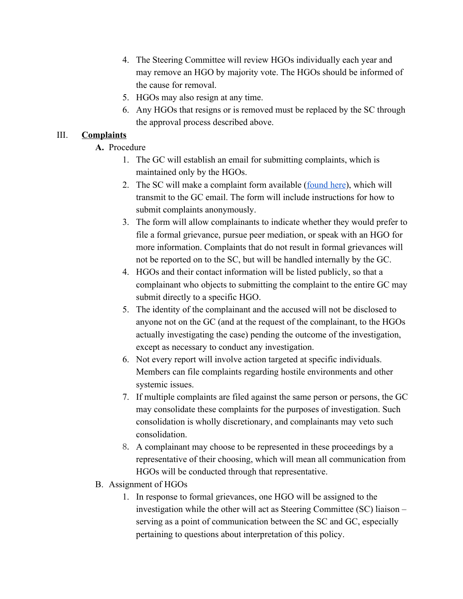- 4. The Steering Committee will review HGOs individually each year and may remove an HGO by majority vote. The HGOs should be informed of the cause for removal.
- 5. HGOs may also resign at any time.
- 6. Any HGOs that resigns or is removed must be replaced by the SC through the approval process described above.

## III. **Complaints**

- **A.** Procedure
	- 1. The GC will establish an email for submitting complaints, which is maintained only by the HGOs.
	- 2. The SC will make a complaint form available ([found here\)](https://docs.google.com/forms/d/e/1FAIpQLSfAk2qzQu-nt3-P0bLT6_vBLJ0Kz0wgaqMMtKfddR5aSD5Lgw/viewform?usp=sf_link), which will transmit to the GC email. The form will include instructions for how to submit complaints anonymously.
	- 3. The form will allow complainants to indicate whether they would prefer to file a formal grievance, pursue peer mediation, or speak with an HGO for more information. Complaints that do not result in formal grievances will not be reported on to the SC, but will be handled internally by the GC.
	- 4. HGOs and their contact information will be listed publicly, so that a complainant who objects to submitting the complaint to the entire GC may submit directly to a specific HGO.
	- 5. The identity of the complainant and the accused will not be disclosed to anyone not on the GC (and at the request of the complainant, to the HGOs actually investigating the case) pending the outcome of the investigation, except as necessary to conduct any investigation.
	- 6. Not every report will involve action targeted at specific individuals. Members can file complaints regarding hostile environments and other systemic issues.
	- 7. If multiple complaints are filed against the same person or persons, the GC may consolidate these complaints for the purposes of investigation. Such consolidation is wholly discretionary, and complainants may veto such consolidation.
	- 8. A complainant may choose to be represented in these proceedings by a representative of their choosing, which will mean all communication from HGOs will be conducted through that representative.
- B. Assignment of HGOs
	- 1. In response to formal grievances, one HGO will be assigned to the investigation while the other will act as Steering Committee (SC) liaison – serving as a point of communication between the SC and GC, especially pertaining to questions about interpretation of this policy.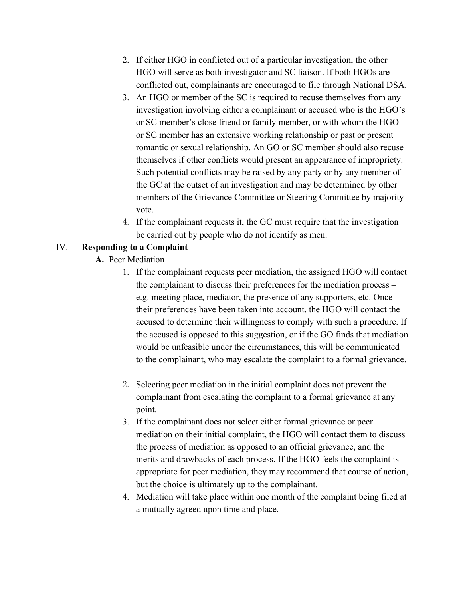- 2. If either HGO in conflicted out of a particular investigation, the other HGO will serve as both investigator and SC liaison. If both HGOs are conflicted out, complainants are encouraged to file through National DSA.
- 3. An HGO or member of the SC is required to recuse themselves from any investigation involving either a complainant or accused who is the HGO's or SC member's close friend or family member, or with whom the HGO or SC member has an extensive working relationship or past or present romantic or sexual relationship. An GO or SC member should also recuse themselves if other conflicts would present an appearance of impropriety. Such potential conflicts may be raised by any party or by any member of the GC at the outset of an investigation and may be determined by other members of the Grievance Committee or Steering Committee by majority vote.
- 4. If the complainant requests it, the GC must require that the investigation be carried out by people who do not identify as men.

### IV. **Responding to a Complaint**

- **A.** Peer Mediation
	- 1. If the complainant requests peer mediation, the assigned HGO will contact the complainant to discuss their preferences for the mediation process – e.g. meeting place, mediator, the presence of any supporters, etc. Once their preferences have been taken into account, the HGO will contact the accused to determine their willingness to comply with such a procedure. If the accused is opposed to this suggestion, or if the GO finds that mediation would be unfeasible under the circumstances, this will be communicated to the complainant, who may escalate the complaint to a formal grievance.
	- 2. Selecting peer mediation in the initial complaint does not prevent the complainant from escalating the complaint to a formal grievance at any point.
	- 3. If the complainant does not select either formal grievance or peer mediation on their initial complaint, the HGO will contact them to discuss the process of mediation as opposed to an official grievance, and the merits and drawbacks of each process. If the HGO feels the complaint is appropriate for peer mediation, they may recommend that course of action, but the choice is ultimately up to the complainant.
	- 4. Mediation will take place within one month of the complaint being filed at a mutually agreed upon time and place.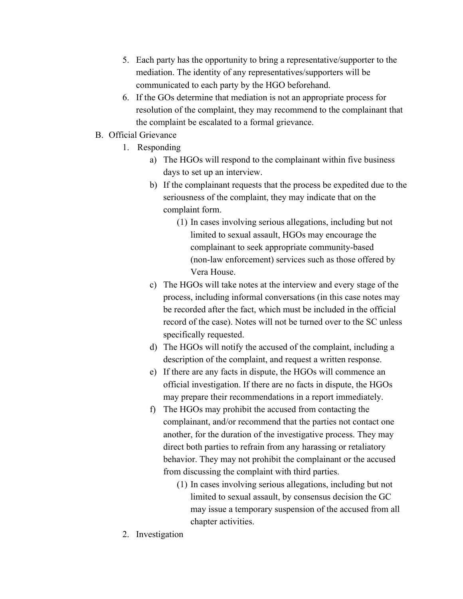- 5. Each party has the opportunity to bring a representative/supporter to the mediation. The identity of any representatives/supporters will be communicated to each party by the HGO beforehand.
- 6. If the GOs determine that mediation is not an appropriate process for resolution of the complaint, they may recommend to the complainant that the complaint be escalated to a formal grievance.
- B. Official Grievance
	- 1. Responding
		- a) The HGOs will respond to the complainant within five business days to set up an interview.
		- b) If the complainant requests that the process be expedited due to the seriousness of the complaint, they may indicate that on the complaint form.
			- (1) In cases involving serious allegations, including but not limited to sexual assault, HGOs may encourage the complainant to seek appropriate community-based (non-law enforcement) services such as those offered by Vera House.
		- c) The HGOs will take notes at the interview and every stage of the process, including informal conversations (in this case notes may be recorded after the fact, which must be included in the official record of the case). Notes will not be turned over to the SC unless specifically requested.
		- d) The HGOs will notify the accused of the complaint, including a description of the complaint, and request a written response.
		- e) If there are any facts in dispute, the HGOs will commence an official investigation. If there are no facts in dispute, the HGOs may prepare their recommendations in a report immediately.
		- f) The HGOs may prohibit the accused from contacting the complainant, and/or recommend that the parties not contact one another, for the duration of the investigative process. They may direct both parties to refrain from any harassing or retaliatory behavior. They may not prohibit the complainant or the accused from discussing the complaint with third parties.
			- (1) In cases involving serious allegations, including but not limited to sexual assault, by consensus decision the GC may issue a temporary suspension of the accused from all chapter activities.
	- 2. Investigation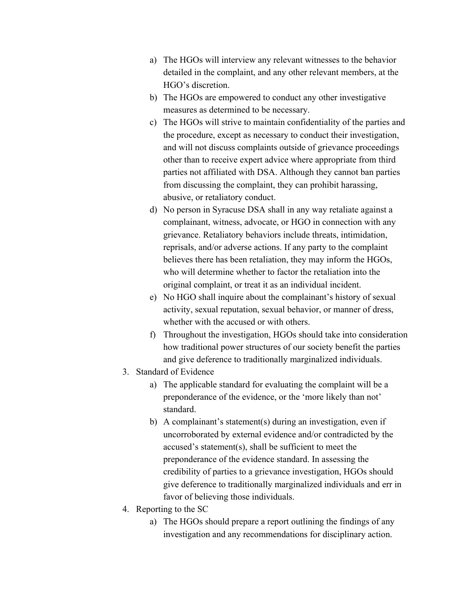- a) The HGOs will interview any relevant witnesses to the behavior detailed in the complaint, and any other relevant members, at the HGO's discretion.
- b) The HGOs are empowered to conduct any other investigative measures as determined to be necessary.
- c) The HGOs will strive to maintain confidentiality of the parties and the procedure, except as necessary to conduct their investigation, and will not discuss complaints outside of grievance proceedings other than to receive expert advice where appropriate from third parties not affiliated with DSA. Although they cannot ban parties from discussing the complaint, they can prohibit harassing, abusive, or retaliatory conduct.
- d) No person in Syracuse DSA shall in any way retaliate against a complainant, witness, advocate, or HGO in connection with any grievance. Retaliatory behaviors include threats, intimidation, reprisals, and/or adverse actions. If any party to the complaint believes there has been retaliation, they may inform the HGOs, who will determine whether to factor the retaliation into the original complaint, or treat it as an individual incident.
- e) No HGO shall inquire about the complainant's history of sexual activity, sexual reputation, sexual behavior, or manner of dress, whether with the accused or with others.
- f) Throughout the investigation, HGOs should take into consideration how traditional power structures of our society benefit the parties and give deference to traditionally marginalized individuals.
- 3. Standard of Evidence
	- a) The applicable standard for evaluating the complaint will be a preponderance of the evidence, or the 'more likely than not' standard.
	- b) A complainant's statement(s) during an investigation, even if uncorroborated by external evidence and/or contradicted by the accused's statement(s), shall be sufficient to meet the preponderance of the evidence standard. In assessing the credibility of parties to a grievance investigation, HGOs should give deference to traditionally marginalized individuals and err in favor of believing those individuals.
- 4. Reporting to the SC
	- a) The HGOs should prepare a report outlining the findings of any investigation and any recommendations for disciplinary action.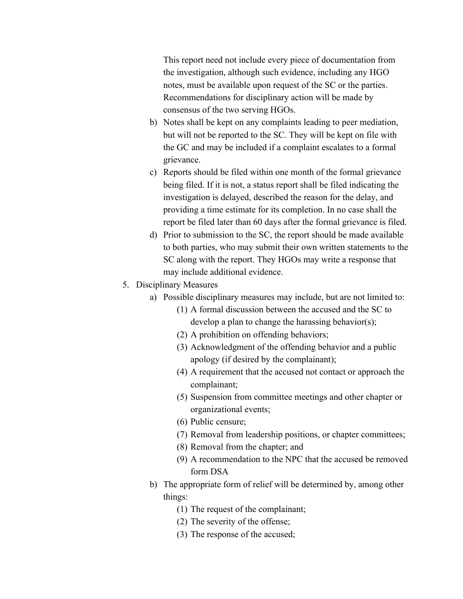This report need not include every piece of documentation from the investigation, although such evidence, including any HGO notes, must be available upon request of the SC or the parties. Recommendations for disciplinary action will be made by consensus of the two serving HGOs.

- b) Notes shall be kept on any complaints leading to peer mediation, but will not be reported to the SC. They will be kept on file with the GC and may be included if a complaint escalates to a formal grievance.
- c) Reports should be filed within one month of the formal grievance being filed. If it is not, a status report shall be filed indicating the investigation is delayed, described the reason for the delay, and providing a time estimate for its completion. In no case shall the report be filed later than 60 days after the formal grievance is filed.
- d) Prior to submission to the SC, the report should be made available to both parties, who may submit their own written statements to the SC along with the report. They HGOs may write a response that may include additional evidence.
- 5. Disciplinary Measures
	- a) Possible disciplinary measures may include, but are not limited to:
		- (1) A formal discussion between the accused and the SC to develop a plan to change the harassing behavior(s);
		- (2) A prohibition on offending behaviors;
		- (3) Acknowledgment of the offending behavior and a public apology (if desired by the complainant);
		- (4) A requirement that the accused not contact or approach the complainant;
		- (5) Suspension from committee meetings and other chapter or organizational events;
		- (6) Public censure;
		- (7) Removal from leadership positions, or chapter committees;
		- (8) Removal from the chapter; and
		- (9) A recommendation to the NPC that the accused be removed form DSA
	- b) The appropriate form of relief will be determined by, among other things:
		- (1) The request of the complainant;
		- (2) The severity of the offense;
		- (3) The response of the accused;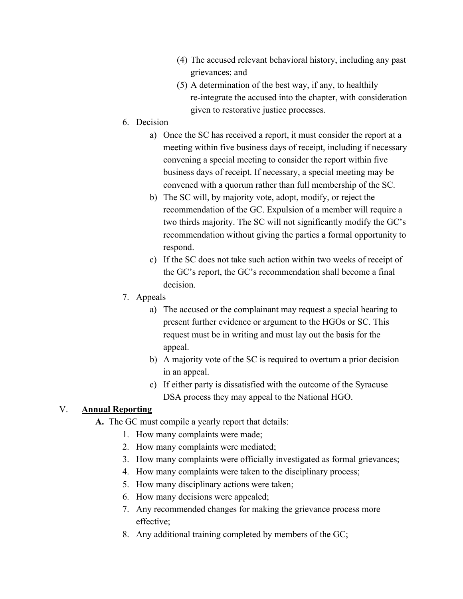- (4) The accused relevant behavioral history, including any past grievances; and
- (5) A determination of the best way, if any, to healthily re-integrate the accused into the chapter, with consideration given to restorative justice processes.
- 6. Decision
	- a) Once the SC has received a report, it must consider the report at a meeting within five business days of receipt, including if necessary convening a special meeting to consider the report within five business days of receipt. If necessary, a special meeting may be convened with a quorum rather than full membership of the SC.
	- b) The SC will, by majority vote, adopt, modify, or reject the recommendation of the GC. Expulsion of a member will require a two thirds majority. The SC will not significantly modify the GC's recommendation without giving the parties a formal opportunity to respond.
	- c) If the SC does not take such action within two weeks of receipt of the GC's report, the GC's recommendation shall become a final decision.
- 7. Appeals
	- a) The accused or the complainant may request a special hearing to present further evidence or argument to the HGOs or SC. This request must be in writing and must lay out the basis for the appeal.
	- b) A majority vote of the SC is required to overturn a prior decision in an appeal.
	- c) If either party is dissatisfied with the outcome of the Syracuse DSA process they may appeal to the National HGO.

### V. **Annual Reporting**

- **A.** The GC must compile a yearly report that details:
	- 1. How many complaints were made;
	- 2. How many complaints were mediated;
	- 3. How many complaints were officially investigated as formal grievances;
	- 4. How many complaints were taken to the disciplinary process;
	- 5. How many disciplinary actions were taken;
	- 6. How many decisions were appealed;
	- 7. Any recommended changes for making the grievance process more effective;
	- 8. Any additional training completed by members of the GC;